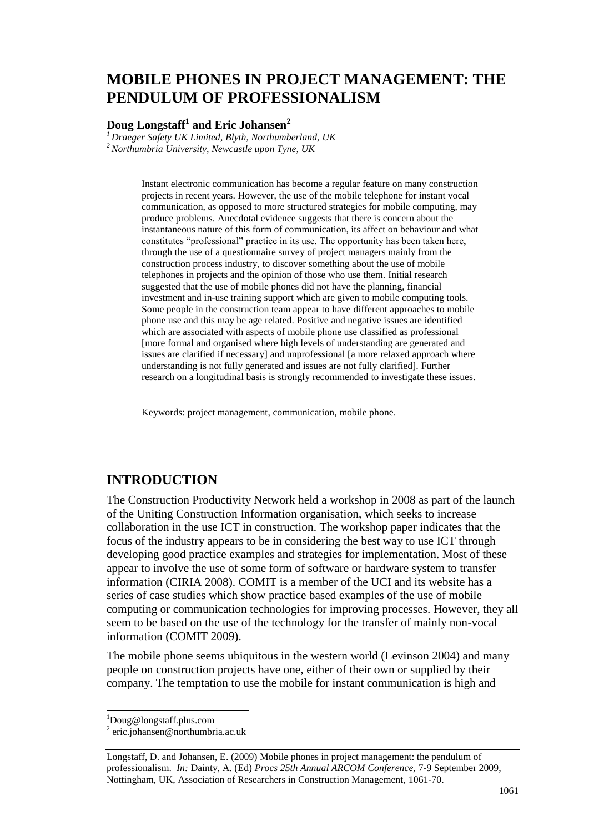# **MOBILE PHONES IN PROJECT MANAGEMENT: THE PENDULUM OF PROFESSIONALISM**

### **Doug Longstaff<sup>1</sup> and Eric Johansen<sup>2</sup>**

*<sup>1</sup>Draeger Safety UK Limited, Blyth, Northumberland, UK <sup>2</sup>Northumbria University, Newcastle upon Tyne, UK*

> Instant electronic communication has become a regular feature on many construction projects in recent years. However, the use of the mobile telephone for instant vocal communication, as opposed to more structured strategies for mobile computing, may produce problems. Anecdotal evidence suggests that there is concern about the instantaneous nature of this form of communication, its affect on behaviour and what constitutes "professional" practice in its use. The opportunity has been taken here, through the use of a questionnaire survey of project managers mainly from the construction process industry, to discover something about the use of mobile telephones in projects and the opinion of those who use them. Initial research suggested that the use of mobile phones did not have the planning, financial investment and in-use training support which are given to mobile computing tools. Some people in the construction team appear to have different approaches to mobile phone use and this may be age related. Positive and negative issues are identified which are associated with aspects of mobile phone use classified as professional [more formal and organised where high levels of understanding are generated and issues are clarified if necessary] and unprofessional [a more relaxed approach where understanding is not fully generated and issues are not fully clarified]. Further research on a longitudinal basis is strongly recommended to investigate these issues.

Keywords: project management, communication, mobile phone.

## **INTRODUCTION**

The Construction Productivity Network held a workshop in 2008 as part of the launch of the Uniting Construction Information organisation, which seeks to increase collaboration in the use ICT in construction. The workshop paper indicates that the focus of the industry appears to be in considering the best way to use ICT through developing good practice examples and strategies for implementation. Most of these appear to involve the use of some form of software or hardware system to transfer information (CIRIA 2008). COMIT is a member of the UCI and its website has a series of case studies which show practice based examples of the use of mobile computing or communication technologies for improving processes. However, they all seem to be based on the use of the technology for the transfer of mainly non-vocal information (COMIT 2009).

The mobile phone seems ubiquitous in the western world (Levinson 2004) and many people on construction projects have one, either of their own or supplied by their company. The temptation to use the mobile for instant communication is high and

 $\overline{a}$ 

<sup>1</sup>Doug@longstaff.plus.com

<sup>2</sup> eric.johansen@northumbria.ac.uk

Longstaff, D. and Johansen, E. (2009) Mobile phones in project management: the pendulum of professionalism. *In:* Dainty, A. (Ed) *Procs 25th Annual ARCOM Conference,* 7-9 September 2009, Nottingham, UK, Association of Researchers in Construction Management, 1061-70.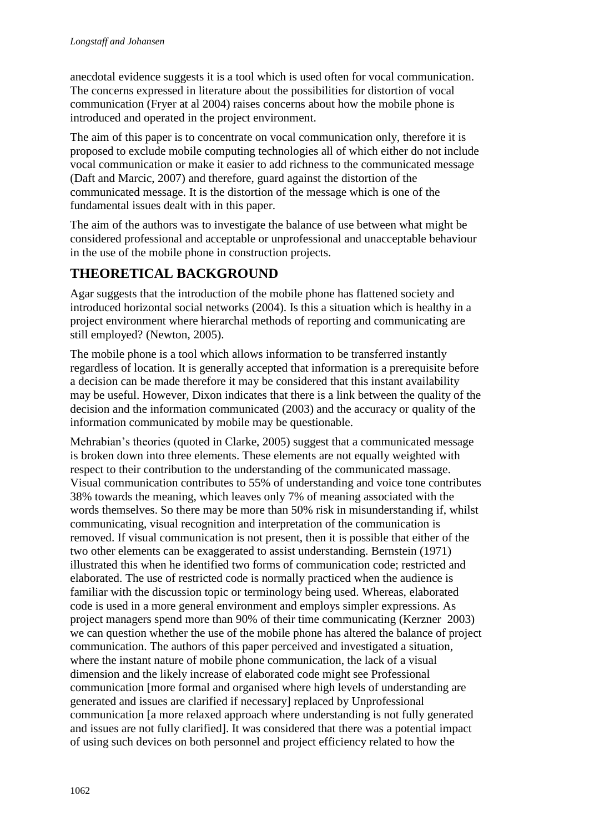anecdotal evidence suggests it is a tool which is used often for vocal communication. The concerns expressed in literature about the possibilities for distortion of vocal communication (Fryer at al 2004) raises concerns about how the mobile phone is introduced and operated in the project environment.

The aim of this paper is to concentrate on vocal communication only, therefore it is proposed to exclude mobile computing technologies all of which either do not include vocal communication or make it easier to add richness to the communicated message (Daft and Marcic, 2007) and therefore, guard against the distortion of the communicated message. It is the distortion of the message which is one of the fundamental issues dealt with in this paper.

The aim of the authors was to investigate the balance of use between what might be considered professional and acceptable or unprofessional and unacceptable behaviour in the use of the mobile phone in construction projects.

# **THEORETICAL BACKGROUND**

Agar suggests that the introduction of the mobile phone has flattened society and introduced horizontal social networks (2004). Is this a situation which is healthy in a project environment where hierarchal methods of reporting and communicating are still employed? (Newton, 2005).

The mobile phone is a tool which allows information to be transferred instantly regardless of location. It is generally accepted that information is a prerequisite before a decision can be made therefore it may be considered that this instant availability may be useful. However, Dixon indicates that there is a link between the quality of the decision and the information communicated (2003) and the accuracy or quality of the information communicated by mobile may be questionable.

Mehrabian's theories (quoted in Clarke, 2005) suggest that a communicated message is broken down into three elements. These elements are not equally weighted with respect to their contribution to the understanding of the communicated massage. Visual communication contributes to 55% of understanding and voice tone contributes 38% towards the meaning, which leaves only 7% of meaning associated with the words themselves. So there may be more than 50% risk in misunderstanding if, whilst communicating, visual recognition and interpretation of the communication is removed. If visual communication is not present, then it is possible that either of the two other elements can be exaggerated to assist understanding. Bernstein (1971) illustrated this when he identified two forms of communication code; restricted and elaborated. The use of restricted code is normally practiced when the audience is familiar with the discussion topic or terminology being used. Whereas, elaborated code is used in a more general environment and employs simpler expressions. As project managers spend more than 90% of their time communicating (Kerzner 2003) we can question whether the use of the mobile phone has altered the balance of project communication. The authors of this paper perceived and investigated a situation, where the instant nature of mobile phone communication, the lack of a visual dimension and the likely increase of elaborated code might see Professional communication [more formal and organised where high levels of understanding are generated and issues are clarified if necessary] replaced by Unprofessional communication [a more relaxed approach where understanding is not fully generated and issues are not fully clarified]. It was considered that there was a potential impact of using such devices on both personnel and project efficiency related to how the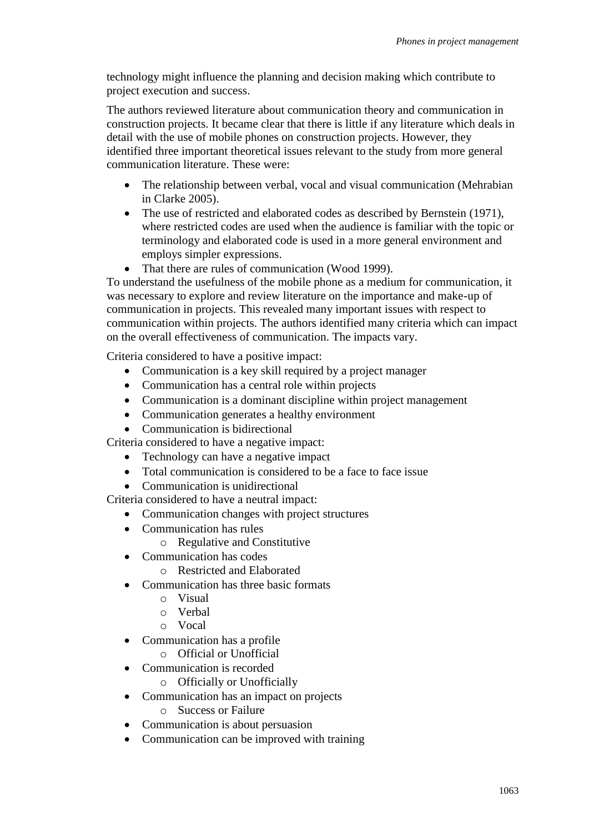technology might influence the planning and decision making which contribute to project execution and success.

The authors reviewed literature about communication theory and communication in construction projects. It became clear that there is little if any literature which deals in detail with the use of mobile phones on construction projects. However, they identified three important theoretical issues relevant to the study from more general communication literature. These were:

- The relationship between verbal, vocal and visual communication (Mehrabian in Clarke 2005).
- The use of restricted and elaborated codes as described by Bernstein (1971), where restricted codes are used when the audience is familiar with the topic or terminology and elaborated code is used in a more general environment and employs simpler expressions.
- That there are rules of communication (Wood 1999).

To understand the usefulness of the mobile phone as a medium for communication, it was necessary to explore and review literature on the importance and make-up of communication in projects. This revealed many important issues with respect to communication within projects. The authors identified many criteria which can impact on the overall effectiveness of communication. The impacts vary.

Criteria considered to have a positive impact:

- Communication is a key skill required by a project manager
- Communication has a central role within projects
- Communication is a dominant discipline within project management
- Communication generates a healthy environment
- Communication is bidirectional

Criteria considered to have a negative impact:

- Technology can have a negative impact
- Total communication is considered to be a face to face issue
- Communication is unidirectional

Criteria considered to have a neutral impact:

- Communication changes with project structures
- Communication has rules
	- o Regulative and Constitutive
- Communication has codes
	- o Restricted and Elaborated
- Communication has three basic formats
	- o Visual
	- o Verbal
	- o Vocal
- Communication has a profile
	- o Official or Unofficial
- Communication is recorded
	- o Officially or Unofficially
- Communication has an impact on projects
	- o Success or Failure
- Communication is about persuasion
- Communication can be improved with training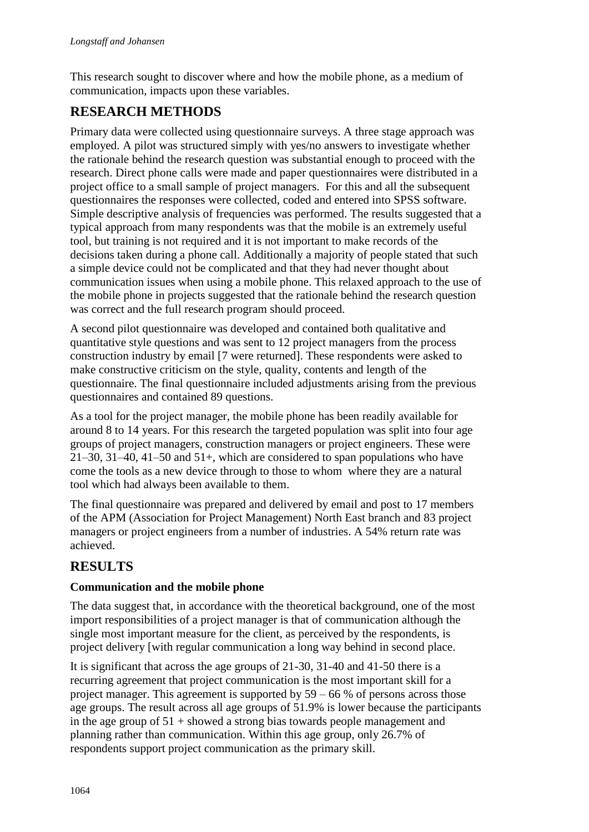This research sought to discover where and how the mobile phone, as a medium of communication, impacts upon these variables.

# **RESEARCH METHODS**

Primary data were collected using questionnaire surveys. A three stage approach was employed. A pilot was structured simply with yes/no answers to investigate whether the rationale behind the research question was substantial enough to proceed with the research. Direct phone calls were made and paper questionnaires were distributed in a project office to a small sample of project managers. For this and all the subsequent questionnaires the responses were collected, coded and entered into SPSS software. Simple descriptive analysis of frequencies was performed. The results suggested that a typical approach from many respondents was that the mobile is an extremely useful tool, but training is not required and it is not important to make records of the decisions taken during a phone call. Additionally a majority of people stated that such a simple device could not be complicated and that they had never thought about communication issues when using a mobile phone. This relaxed approach to the use of the mobile phone in projects suggested that the rationale behind the research question was correct and the full research program should proceed.

A second pilot questionnaire was developed and contained both qualitative and quantitative style questions and was sent to 12 project managers from the process construction industry by email [7 were returned]. These respondents were asked to make constructive criticism on the style, quality, contents and length of the questionnaire. The final questionnaire included adjustments arising from the previous questionnaires and contained 89 questions.

As a tool for the project manager, the mobile phone has been readily available for around 8 to 14 years. For this research the targeted population was split into four age groups of project managers, construction managers or project engineers. These were 21–30, 31–40, 41–50 and 51+, which are considered to span populations who have come the tools as a new device through to those to whom where they are a natural tool which had always been available to them.

The final questionnaire was prepared and delivered by email and post to 17 members of the APM (Association for Project Management) North East branch and 83 project managers or project engineers from a number of industries. A 54% return rate was achieved.

# **RESULTS**

## **Communication and the mobile phone**

The data suggest that, in accordance with the theoretical background, one of the most import responsibilities of a project manager is that of communication although the single most important measure for the client, as perceived by the respondents, is project delivery [with regular communication a long way behind in second place.

It is significant that across the age groups of 21-30, 31-40 and 41-50 there is a recurring agreement that project communication is the most important skill for a project manager. This agreement is supported by  $59 - 66$  % of persons across those age groups. The result across all age groups of 51.9% is lower because the participants in the age group of  $51 +$  showed a strong bias towards people management and planning rather than communication. Within this age group, only 26.7% of respondents support project communication as the primary skill.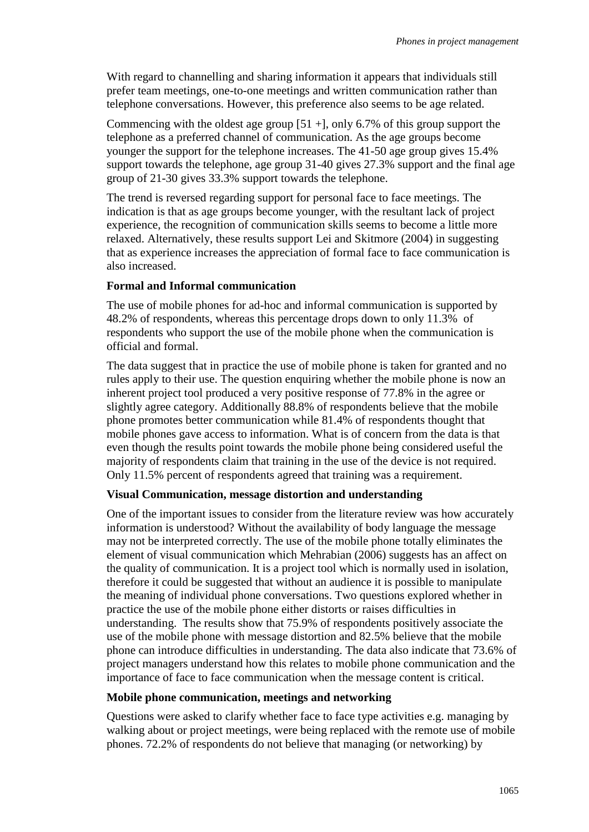With regard to channelling and sharing information it appears that individuals still prefer team meetings, one-to-one meetings and written communication rather than telephone conversations. However, this preference also seems to be age related.

Commencing with the oldest age group  $[51 +]$ , only 6.7% of this group support the telephone as a preferred channel of communication. As the age groups become younger the support for the telephone increases. The 41-50 age group gives 15.4% support towards the telephone, age group 31-40 gives 27.3% support and the final age group of 21-30 gives 33.3% support towards the telephone.

The trend is reversed regarding support for personal face to face meetings. The indication is that as age groups become younger, with the resultant lack of project experience, the recognition of communication skills seems to become a little more relaxed. Alternatively, these results support Lei and Skitmore (2004) in suggesting that as experience increases the appreciation of formal face to face communication is also increased.

#### **Formal and Informal communication**

The use of mobile phones for ad-hoc and informal communication is supported by 48.2% of respondents, whereas this percentage drops down to only 11.3% of respondents who support the use of the mobile phone when the communication is official and formal.

The data suggest that in practice the use of mobile phone is taken for granted and no rules apply to their use. The question enquiring whether the mobile phone is now an inherent project tool produced a very positive response of 77.8% in the agree or slightly agree category. Additionally 88.8% of respondents believe that the mobile phone promotes better communication while 81.4% of respondents thought that mobile phones gave access to information. What is of concern from the data is that even though the results point towards the mobile phone being considered useful the majority of respondents claim that training in the use of the device is not required. Only 11.5% percent of respondents agreed that training was a requirement.

#### **Visual Communication, message distortion and understanding**

One of the important issues to consider from the literature review was how accurately information is understood? Without the availability of body language the message may not be interpreted correctly. The use of the mobile phone totally eliminates the element of visual communication which Mehrabian (2006) suggests has an affect on the quality of communication. It is a project tool which is normally used in isolation, therefore it could be suggested that without an audience it is possible to manipulate the meaning of individual phone conversations. Two questions explored whether in practice the use of the mobile phone either distorts or raises difficulties in understanding. The results show that 75.9% of respondents positively associate the use of the mobile phone with message distortion and 82.5% believe that the mobile phone can introduce difficulties in understanding. The data also indicate that 73.6% of project managers understand how this relates to mobile phone communication and the importance of face to face communication when the message content is critical.

#### **Mobile phone communication, meetings and networking**

Questions were asked to clarify whether face to face type activities e.g. managing by walking about or project meetings, were being replaced with the remote use of mobile phones. 72.2% of respondents do not believe that managing (or networking) by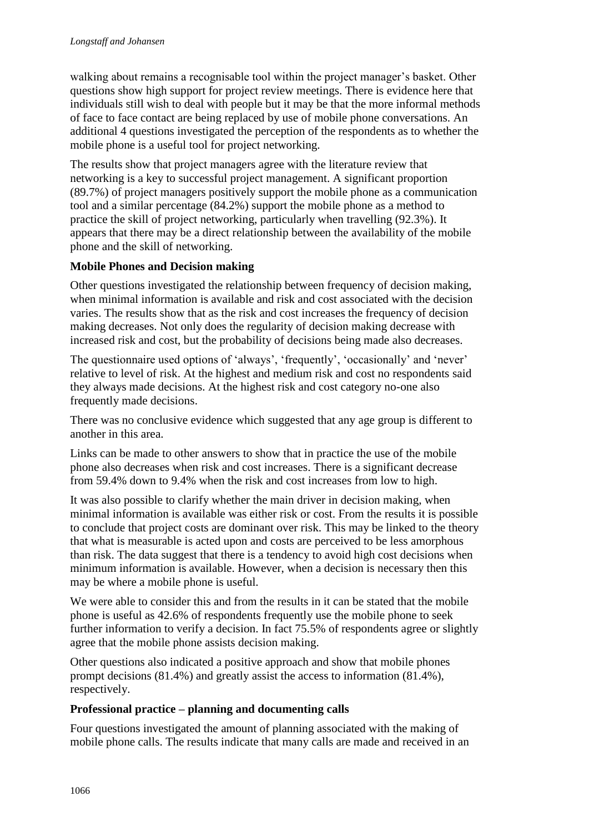walking about remains a recognisable tool within the project manager's basket. Other questions show high support for project review meetings. There is evidence here that individuals still wish to deal with people but it may be that the more informal methods of face to face contact are being replaced by use of mobile phone conversations. An additional 4 questions investigated the perception of the respondents as to whether the mobile phone is a useful tool for project networking.

The results show that project managers agree with the literature review that networking is a key to successful project management. A significant proportion (89.7%) of project managers positively support the mobile phone as a communication tool and a similar percentage (84.2%) support the mobile phone as a method to practice the skill of project networking, particularly when travelling (92.3%). It appears that there may be a direct relationship between the availability of the mobile phone and the skill of networking.

### **Mobile Phones and Decision making**

Other questions investigated the relationship between frequency of decision making, when minimal information is available and risk and cost associated with the decision varies. The results show that as the risk and cost increases the frequency of decision making decreases. Not only does the regularity of decision making decrease with increased risk and cost, but the probability of decisions being made also decreases.

The questionnaire used options of 'always', 'frequently', 'occasionally' and 'never' relative to level of risk. At the highest and medium risk and cost no respondents said they always made decisions. At the highest risk and cost category no-one also frequently made decisions.

There was no conclusive evidence which suggested that any age group is different to another in this area.

Links can be made to other answers to show that in practice the use of the mobile phone also decreases when risk and cost increases. There is a significant decrease from 59.4% down to 9.4% when the risk and cost increases from low to high.

It was also possible to clarify whether the main driver in decision making, when minimal information is available was either risk or cost. From the results it is possible to conclude that project costs are dominant over risk. This may be linked to the theory that what is measurable is acted upon and costs are perceived to be less amorphous than risk. The data suggest that there is a tendency to avoid high cost decisions when minimum information is available. However, when a decision is necessary then this may be where a mobile phone is useful.

We were able to consider this and from the results in it can be stated that the mobile phone is useful as 42.6% of respondents frequently use the mobile phone to seek further information to verify a decision. In fact 75.5% of respondents agree or slightly agree that the mobile phone assists decision making.

Other questions also indicated a positive approach and show that mobile phones prompt decisions (81.4%) and greatly assist the access to information (81.4%), respectively.

### **Professional practice – planning and documenting calls**

Four questions investigated the amount of planning associated with the making of mobile phone calls. The results indicate that many calls are made and received in an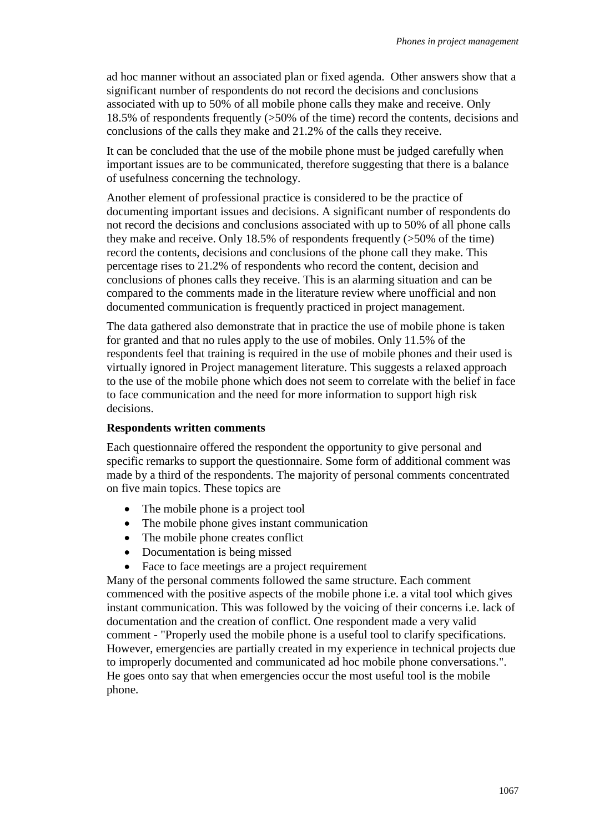ad hoc manner without an associated plan or fixed agenda. Other answers show that a significant number of respondents do not record the decisions and conclusions associated with up to 50% of all mobile phone calls they make and receive. Only 18.5% of respondents frequently (>50% of the time) record the contents, decisions and conclusions of the calls they make and 21.2% of the calls they receive.

It can be concluded that the use of the mobile phone must be judged carefully when important issues are to be communicated, therefore suggesting that there is a balance of usefulness concerning the technology.

Another element of professional practice is considered to be the practice of documenting important issues and decisions. A significant number of respondents do not record the decisions and conclusions associated with up to 50% of all phone calls they make and receive. Only 18.5% of respondents frequently (>50% of the time) record the contents, decisions and conclusions of the phone call they make. This percentage rises to 21.2% of respondents who record the content, decision and conclusions of phones calls they receive. This is an alarming situation and can be compared to the comments made in the literature review where unofficial and non documented communication is frequently practiced in project management.

The data gathered also demonstrate that in practice the use of mobile phone is taken for granted and that no rules apply to the use of mobiles. Only 11.5% of the respondents feel that training is required in the use of mobile phones and their used is virtually ignored in Project management literature. This suggests a relaxed approach to the use of the mobile phone which does not seem to correlate with the belief in face to face communication and the need for more information to support high risk decisions.

#### **Respondents written comments**

Each questionnaire offered the respondent the opportunity to give personal and specific remarks to support the questionnaire. Some form of additional comment was made by a third of the respondents. The majority of personal comments concentrated on five main topics. These topics are

- The mobile phone is a project tool
- The mobile phone gives instant communication
- The mobile phone creates conflict
- Documentation is being missed
- Face to face meetings are a project requirement

Many of the personal comments followed the same structure. Each comment commenced with the positive aspects of the mobile phone i.e. a vital tool which gives instant communication. This was followed by the voicing of their concerns i.e. lack of documentation and the creation of conflict. One respondent made a very valid comment - "Properly used the mobile phone is a useful tool to clarify specifications. However, emergencies are partially created in my experience in technical projects due to improperly documented and communicated ad hoc mobile phone conversations.". He goes onto say that when emergencies occur the most useful tool is the mobile phone.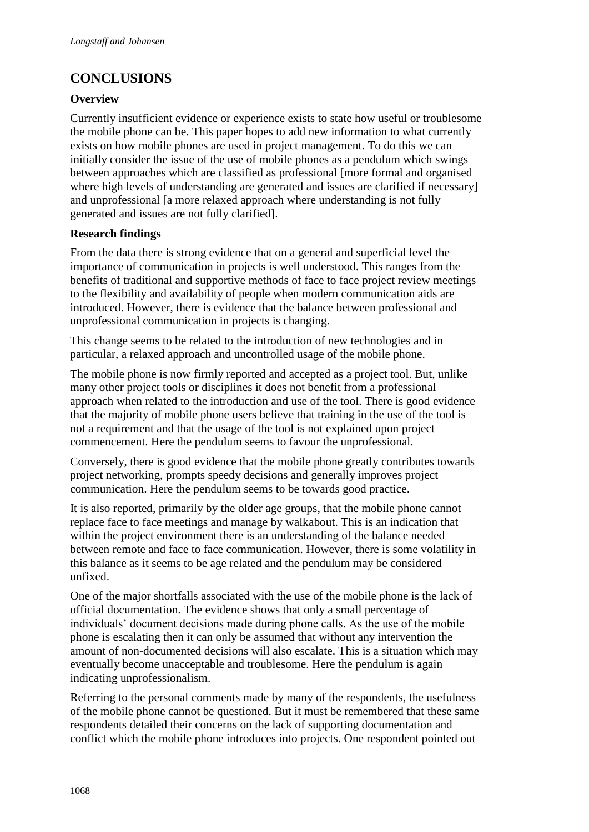# **CONCLUSIONS**

### **Overview**

Currently insufficient evidence or experience exists to state how useful or troublesome the mobile phone can be. This paper hopes to add new information to what currently exists on how mobile phones are used in project management. To do this we can initially consider the issue of the use of mobile phones as a pendulum which swings between approaches which are classified as professional [more formal and organised where high levels of understanding are generated and issues are clarified if necessary] and unprofessional [a more relaxed approach where understanding is not fully generated and issues are not fully clarified].

### **Research findings**

From the data there is strong evidence that on a general and superficial level the importance of communication in projects is well understood. This ranges from the benefits of traditional and supportive methods of face to face project review meetings to the flexibility and availability of people when modern communication aids are introduced. However, there is evidence that the balance between professional and unprofessional communication in projects is changing.

This change seems to be related to the introduction of new technologies and in particular, a relaxed approach and uncontrolled usage of the mobile phone.

The mobile phone is now firmly reported and accepted as a project tool. But, unlike many other project tools or disciplines it does not benefit from a professional approach when related to the introduction and use of the tool. There is good evidence that the majority of mobile phone users believe that training in the use of the tool is not a requirement and that the usage of the tool is not explained upon project commencement. Here the pendulum seems to favour the unprofessional.

Conversely, there is good evidence that the mobile phone greatly contributes towards project networking, prompts speedy decisions and generally improves project communication. Here the pendulum seems to be towards good practice.

It is also reported, primarily by the older age groups, that the mobile phone cannot replace face to face meetings and manage by walkabout. This is an indication that within the project environment there is an understanding of the balance needed between remote and face to face communication. However, there is some volatility in this balance as it seems to be age related and the pendulum may be considered unfixed.

One of the major shortfalls associated with the use of the mobile phone is the lack of official documentation. The evidence shows that only a small percentage of individuals" document decisions made during phone calls. As the use of the mobile phone is escalating then it can only be assumed that without any intervention the amount of non-documented decisions will also escalate. This is a situation which may eventually become unacceptable and troublesome. Here the pendulum is again indicating unprofessionalism.

Referring to the personal comments made by many of the respondents, the usefulness of the mobile phone cannot be questioned. But it must be remembered that these same respondents detailed their concerns on the lack of supporting documentation and conflict which the mobile phone introduces into projects. One respondent pointed out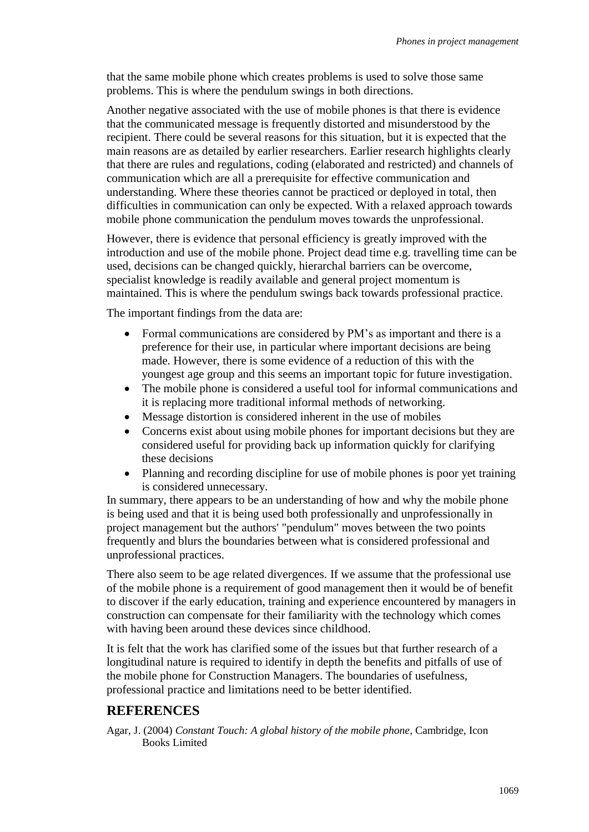that the same mobile phone which creates problems is used to solve those same problems. This is where the pendulum swings in both directions.

Another negative associated with the use of mobile phones is that there is evidence that the communicated message is frequently distorted and misunderstood by the recipient. There could be several reasons for this situation, but it is expected that the main reasons are as detailed by earlier researchers. Earlier research highlights clearly that there are rules and regulations, coding (elaborated and restricted) and channels of communication which are all a prerequisite for effective communication and understanding. Where these theories cannot be practiced or deployed in total, then difficulties in communication can only be expected. With a relaxed approach towards mobile phone communication the pendulum moves towards the unprofessional.

However, there is evidence that personal efficiency is greatly improved with the introduction and use of the mobile phone. Project dead time e.g. travelling time can be used, decisions can be changed quickly, hierarchal barriers can be overcome, specialist knowledge is readily available and general project momentum is maintained. This is where the pendulum swings back towards professional practice.

The important findings from the data are:

- Formal communications are considered by PM's as important and there is a preference for their use, in particular where important decisions are being made. However, there is some evidence of a reduction of this with the youngest age group and this seems an important topic for future investigation.
- The mobile phone is considered a useful tool for informal communications and it is replacing more traditional informal methods of networking.
- Message distortion is considered inherent in the use of mobiles
- Concerns exist about using mobile phones for important decisions but they are considered useful for providing back up information quickly for clarifying these decisions
- Planning and recording discipline for use of mobile phones is poor yet training is considered unnecessary.

In summary, there appears to be an understanding of how and why the mobile phone is being used and that it is being used both professionally and unprofessionally in project management but the authors' "pendulum" moves between the two points frequently and blurs the boundaries between what is considered professional and unprofessional practices.

There also seem to be age related divergences. If we assume that the professional use of the mobile phone is a requirement of good management then it would be of benefit to discover if the early education, training and experience encountered by managers in construction can compensate for their familiarity with the technology which comes with having been around these devices since childhood.

It is felt that the work has clarified some of the issues but that further research of a longitudinal nature is required to identify in depth the benefits and pitfalls of use of the mobile phone for Construction Managers. The boundaries of usefulness, professional practice and limitations need to be better identified.

## **REFERENCES**

Agar, J. (2004) *Constant Touch: A global history of the mobile phone*, Cambridge, Icon Books Limited